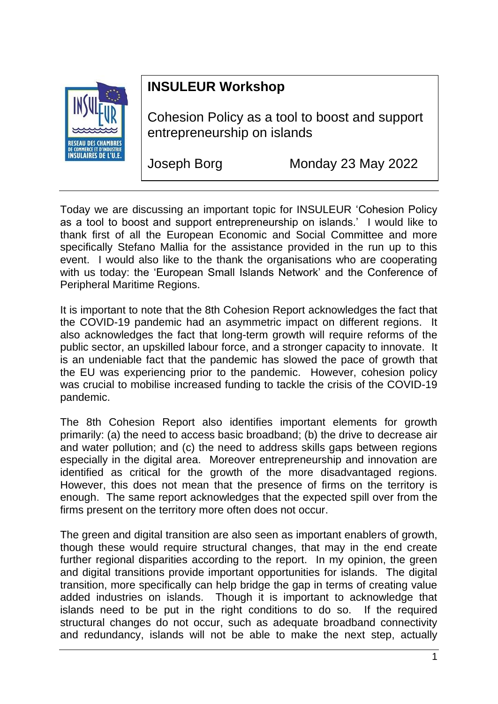

## **INSULEUR Workshop**

Cohesion Policy as a tool to boost and support entrepreneurship on islands

Joseph Borg Monday 23 May 2022

Today we are discussing an important topic for INSULEUR 'Cohesion Policy as a tool to boost and support entrepreneurship on islands.' I would like to thank first of all the European Economic and Social Committee and more specifically Stefano Mallia for the assistance provided in the run up to this event. I would also like to the thank the organisations who are cooperating with us today: the 'European Small Islands Network' and the Conference of Peripheral Maritime Regions.

It is important to note that the 8th Cohesion Report acknowledges the fact that the COVID-19 pandemic had an asymmetric impact on different regions. It also acknowledges the fact that long-term growth will require reforms of the public sector, an upskilled labour force, and a stronger capacity to innovate. It is an undeniable fact that the pandemic has slowed the pace of growth that the EU was experiencing prior to the pandemic. However, cohesion policy was crucial to mobilise increased funding to tackle the crisis of the COVID-19 pandemic.

The 8th Cohesion Report also identifies important elements for growth primarily: (a) the need to access basic broadband; (b) the drive to decrease air and water pollution; and (c) the need to address skills gaps between regions especially in the digital area. Moreover entrepreneurship and innovation are identified as critical for the growth of the more disadvantaged regions. However, this does not mean that the presence of firms on the territory is enough. The same report acknowledges that the expected spill over from the firms present on the territory more often does not occur.

The green and digital transition are also seen as important enablers of growth, though these would require structural changes, that may in the end create further regional disparities according to the report. In my opinion, the green and digital transitions provide important opportunities for islands. The digital transition, more specifically can help bridge the gap in terms of creating value added industries on islands. Though it is important to acknowledge that islands need to be put in the right conditions to do so. If the required structural changes do not occur, such as adequate broadband connectivity and redundancy, islands will not be able to make the next step, actually